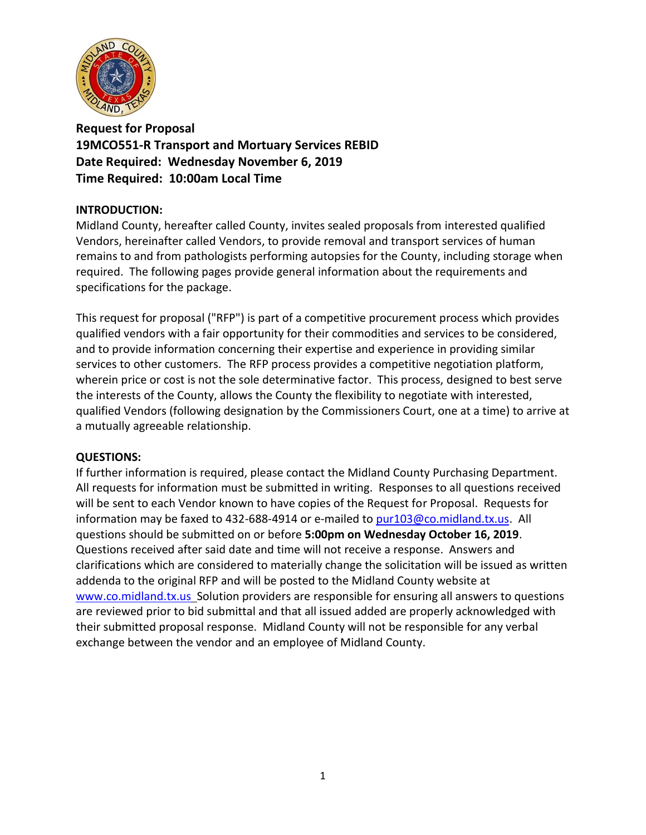

**Request for Proposal 19MCO551-R Transport and Mortuary Services REBID Date Required: Wednesday November 6, 2019 Time Required: 10:00am Local Time**

### **INTRODUCTION:**

Midland County, hereafter called County, invites sealed proposals from interested qualified Vendors, hereinafter called Vendors, to provide removal and transport services of human remains to and from pathologists performing autopsies for the County, including storage when required. The following pages provide general information about the requirements and specifications for the package.

This request for proposal ("RFP") is part of a competitive procurement process which provides qualified vendors with a fair opportunity for their commodities and services to be considered, and to provide information concerning their expertise and experience in providing similar services to other customers. The RFP process provides a competitive negotiation platform, wherein price or cost is not the sole determinative factor. This process, designed to best serve the interests of the County, allows the County the flexibility to negotiate with interested, qualified Vendors (following designation by the Commissioners Court, one at a time) to arrive at a mutually agreeable relationship.

#### **QUESTIONS:**

If further information is required, please contact the Midland County Purchasing Department. All requests for information must be submitted in writing. Responses to all questions received will be sent to each Vendor known to have copies of the Request for Proposal. Requests for information may be faxed to 432-688-4914 or e-mailed to [pur103@co.midland.tx.us.](mailto:pur103@co.midland.tx.us) All questions should be submitted on or before **5:00pm on Wednesday October 16, 2019**. Questions received after said date and time will not receive a response. Answers and clarifications which are considered to materially change the solicitation will be issued as written addenda to the original RFP and will be posted to the Midland County website at [www.co.midland.tx.us](http://www.co.midland.tx.us/) Solution providers are responsible for ensuring all answers to questions are reviewed prior to bid submittal and that all issued added are properly acknowledged with their submitted proposal response. Midland County will not be responsible for any verbal exchange between the vendor and an employee of Midland County.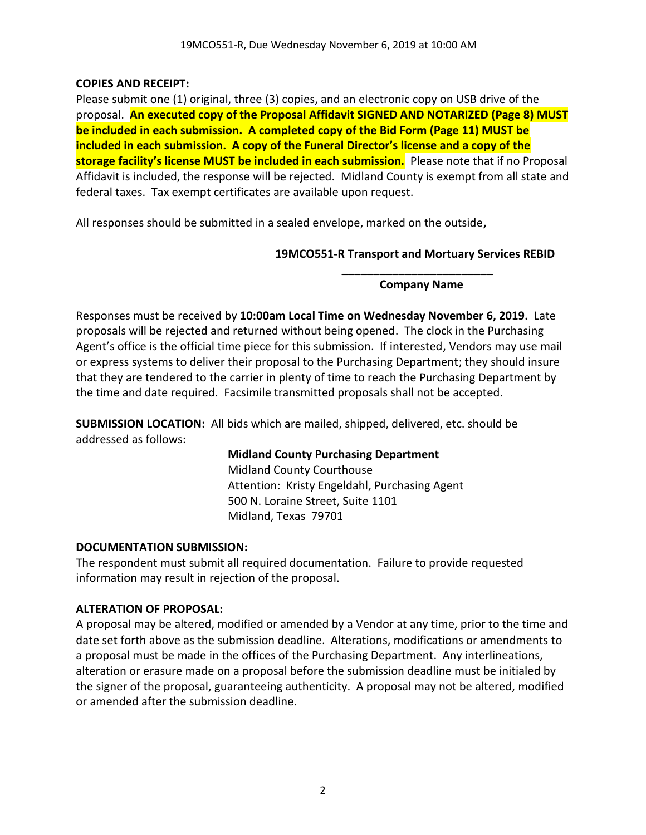# **COPIES AND RECEIPT:**

Please submit one (1) original, three (3) copies, and an electronic copy on USB drive of the proposal. **An executed copy of the Proposal Affidavit SIGNED AND NOTARIZED (Page 8) MUST be included in each submission. A completed copy of the Bid Form (Page 11) MUST be included in each submission. A copy of the Funeral Director's license and a copy of the storage facility's license MUST be included in each submission.** Please note that if no Proposal Affidavit is included, the response will be rejected. Midland County is exempt from all state and federal taxes. Tax exempt certificates are available upon request.

All responses should be submitted in a sealed envelope, marked on the outside**,** 

# **19MCO551-R Transport and Mortuary Services REBID \_\_\_\_\_\_\_\_\_\_\_\_\_\_\_\_\_\_\_\_\_\_\_\_**

### **Company Name**

Responses must be received by **10:00am Local Time on Wednesday November 6, 2019.** Late proposals will be rejected and returned without being opened. The clock in the Purchasing Agent's office is the official time piece for this submission. If interested, Vendors may use mail or express systems to deliver their proposal to the Purchasing Department; they should insure that they are tendered to the carrier in plenty of time to reach the Purchasing Department by the time and date required. Facsimile transmitted proposals shall not be accepted.

**SUBMISSION LOCATION:** All bids which are mailed, shipped, delivered, etc. should be addressed as follows:

# **Midland County Purchasing Department**

Midland County Courthouse Attention: Kristy Engeldahl, Purchasing Agent 500 N. Loraine Street, Suite 1101 Midland, Texas 79701

# **DOCUMENTATION SUBMISSION:**

The respondent must submit all required documentation. Failure to provide requested information may result in rejection of the proposal.

# **ALTERATION OF PROPOSAL:**

A proposal may be altered, modified or amended by a Vendor at any time, prior to the time and date set forth above as the submission deadline. Alterations, modifications or amendments to a proposal must be made in the offices of the Purchasing Department. Any interlineations, alteration or erasure made on a proposal before the submission deadline must be initialed by the signer of the proposal, guaranteeing authenticity. A proposal may not be altered, modified or amended after the submission deadline.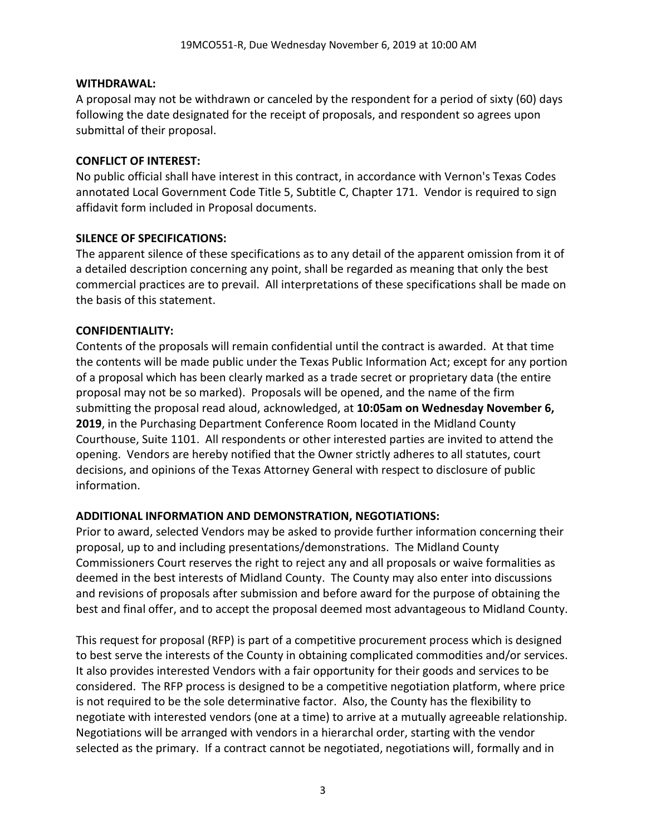### **WITHDRAWAL:**

A proposal may not be withdrawn or canceled by the respondent for a period of sixty (60) days following the date designated for the receipt of proposals, and respondent so agrees upon submittal of their proposal.

#### **CONFLICT OF INTEREST:**

No public official shall have interest in this contract, in accordance with Vernon's Texas Codes annotated Local Government Code Title 5, Subtitle C, Chapter 171. Vendor is required to sign affidavit form included in Proposal documents.

### **SILENCE OF SPECIFICATIONS:**

The apparent silence of these specifications as to any detail of the apparent omission from it of a detailed description concerning any point, shall be regarded as meaning that only the best commercial practices are to prevail. All interpretations of these specifications shall be made on the basis of this statement.

# **CONFIDENTIALITY:**

Contents of the proposals will remain confidential until the contract is awarded. At that time the contents will be made public under the Texas Public Information Act; except for any portion of a proposal which has been clearly marked as a trade secret or proprietary data (the entire proposal may not be so marked). Proposals will be opened, and the name of the firm submitting the proposal read aloud, acknowledged, at **10:05am on Wednesday November 6, 2019**, in the Purchasing Department Conference Room located in the Midland County Courthouse, Suite 1101. All respondents or other interested parties are invited to attend the opening. Vendors are hereby notified that the Owner strictly adheres to all statutes, court decisions, and opinions of the Texas Attorney General with respect to disclosure of public information.

# **ADDITIONAL INFORMATION AND DEMONSTRATION, NEGOTIATIONS:**

Prior to award, selected Vendors may be asked to provide further information concerning their proposal, up to and including presentations/demonstrations. The Midland County Commissioners Court reserves the right to reject any and all proposals or waive formalities as deemed in the best interests of Midland County. The County may also enter into discussions and revisions of proposals after submission and before award for the purpose of obtaining the best and final offer, and to accept the proposal deemed most advantageous to Midland County.

This request for proposal (RFP) is part of a competitive procurement process which is designed to best serve the interests of the County in obtaining complicated commodities and/or services. It also provides interested Vendors with a fair opportunity for their goods and services to be considered. The RFP process is designed to be a competitive negotiation platform, where price is not required to be the sole determinative factor. Also, the County has the flexibility to negotiate with interested vendors (one at a time) to arrive at a mutually agreeable relationship. Negotiations will be arranged with vendors in a hierarchal order, starting with the vendor selected as the primary. If a contract cannot be negotiated, negotiations will, formally and in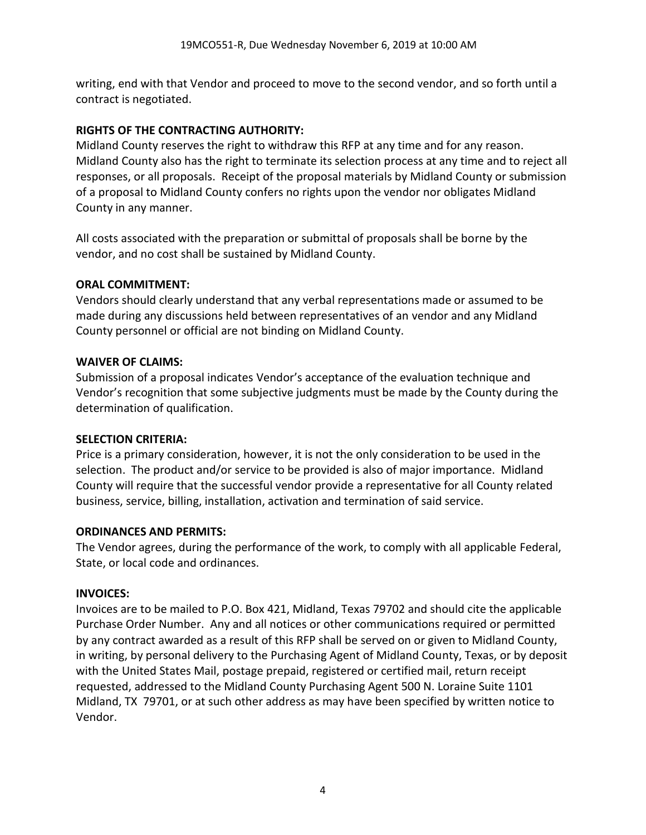writing, end with that Vendor and proceed to move to the second vendor, and so forth until a contract is negotiated.

# **RIGHTS OF THE CONTRACTING AUTHORITY:**

Midland County reserves the right to withdraw this RFP at any time and for any reason. Midland County also has the right to terminate its selection process at any time and to reject all responses, or all proposals. Receipt of the proposal materials by Midland County or submission of a proposal to Midland County confers no rights upon the vendor nor obligates Midland County in any manner.

All costs associated with the preparation or submittal of proposals shall be borne by the vendor, and no cost shall be sustained by Midland County.

# **ORAL COMMITMENT:**

Vendors should clearly understand that any verbal representations made or assumed to be made during any discussions held between representatives of an vendor and any Midland County personnel or official are not binding on Midland County.

# **WAIVER OF CLAIMS:**

Submission of a proposal indicates Vendor's acceptance of the evaluation technique and Vendor's recognition that some subjective judgments must be made by the County during the determination of qualification.

# **SELECTION CRITERIA:**

Price is a primary consideration, however, it is not the only consideration to be used in the selection. The product and/or service to be provided is also of major importance. Midland County will require that the successful vendor provide a representative for all County related business, service, billing, installation, activation and termination of said service.

# **ORDINANCES AND PERMITS:**

The Vendor agrees, during the performance of the work, to comply with all applicable Federal, State, or local code and ordinances.

# **INVOICES:**

Invoices are to be mailed to P.O. Box 421, Midland, Texas 79702 and should cite the applicable Purchase Order Number. Any and all notices or other communications required or permitted by any contract awarded as a result of this RFP shall be served on or given to Midland County, in writing, by personal delivery to the Purchasing Agent of Midland County, Texas, or by deposit with the United States Mail, postage prepaid, registered or certified mail, return receipt requested, addressed to the Midland County Purchasing Agent 500 N. Loraine Suite 1101 Midland, TX 79701, or at such other address as may have been specified by written notice to Vendor.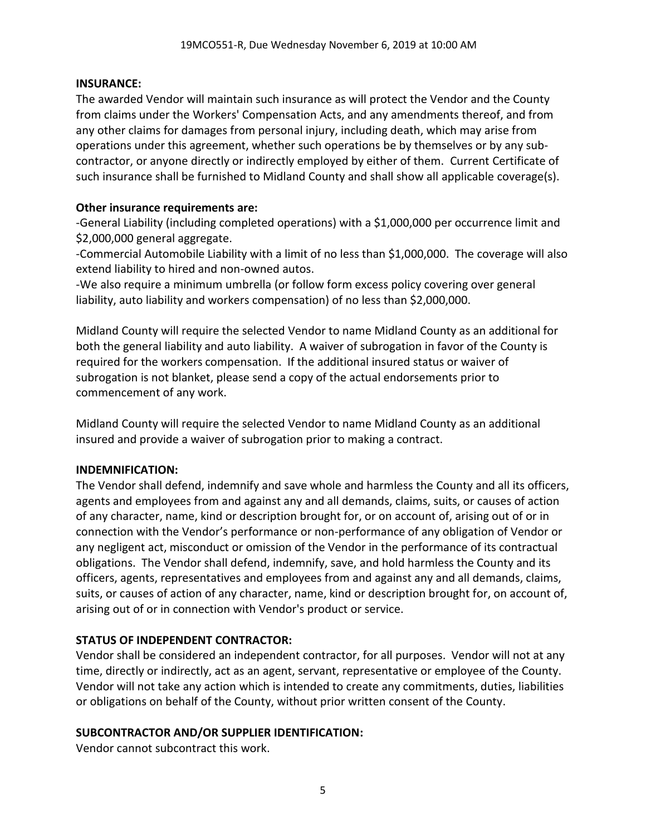#### **INSURANCE:**

The awarded Vendor will maintain such insurance as will protect the Vendor and the County from claims under the Workers' Compensation Acts, and any amendments thereof, and from any other claims for damages from personal injury, including death, which may arise from operations under this agreement, whether such operations be by themselves or by any subcontractor, or anyone directly or indirectly employed by either of them. Current Certificate of such insurance shall be furnished to Midland County and shall show all applicable coverage(s).

### **Other insurance requirements are:**

-General Liability (including completed operations) with a \$1,000,000 per occurrence limit and \$2,000,000 general aggregate.

-Commercial Automobile Liability with a limit of no less than \$1,000,000. The coverage will also extend liability to hired and non-owned autos.

-We also require a minimum umbrella (or follow form excess policy covering over general liability, auto liability and workers compensation) of no less than \$2,000,000.

Midland County will require the selected Vendor to name Midland County as an additional for both the general liability and auto liability. A waiver of subrogation in favor of the County is required for the workers compensation. If the additional insured status or waiver of subrogation is not blanket, please send a copy of the actual endorsements prior to commencement of any work.

Midland County will require the selected Vendor to name Midland County as an additional insured and provide a waiver of subrogation prior to making a contract.

# **INDEMNIFICATION:**

The Vendor shall defend, indemnify and save whole and harmless the County and all its officers, agents and employees from and against any and all demands, claims, suits, or causes of action of any character, name, kind or description brought for, or on account of, arising out of or in connection with the Vendor's performance or non-performance of any obligation of Vendor or any negligent act, misconduct or omission of the Vendor in the performance of its contractual obligations. The Vendor shall defend, indemnify, save, and hold harmless the County and its officers, agents, representatives and employees from and against any and all demands, claims, suits, or causes of action of any character, name, kind or description brought for, on account of, arising out of or in connection with Vendor's product or service.

# **STATUS OF INDEPENDENT CONTRACTOR:**

Vendor shall be considered an independent contractor, for all purposes. Vendor will not at any time, directly or indirectly, act as an agent, servant, representative or employee of the County. Vendor will not take any action which is intended to create any commitments, duties, liabilities or obligations on behalf of the County, without prior written consent of the County.

# **SUBCONTRACTOR AND/OR SUPPLIER IDENTIFICATION:**

Vendor cannot subcontract this work.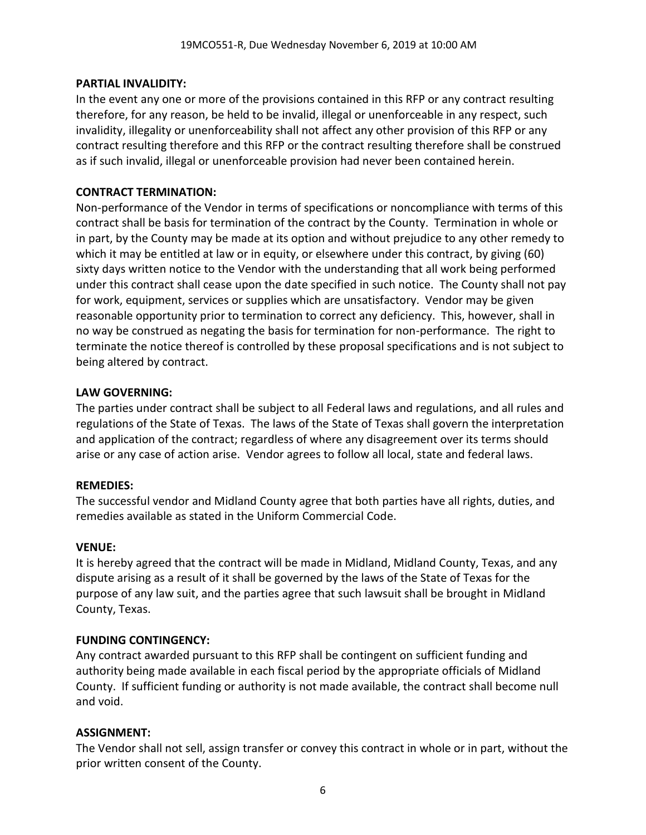### **PARTIAL INVALIDITY:**

In the event any one or more of the provisions contained in this RFP or any contract resulting therefore, for any reason, be held to be invalid, illegal or unenforceable in any respect, such invalidity, illegality or unenforceability shall not affect any other provision of this RFP or any contract resulting therefore and this RFP or the contract resulting therefore shall be construed as if such invalid, illegal or unenforceable provision had never been contained herein.

# **CONTRACT TERMINATION:**

Non-performance of the Vendor in terms of specifications or noncompliance with terms of this contract shall be basis for termination of the contract by the County. Termination in whole or in part, by the County may be made at its option and without prejudice to any other remedy to which it may be entitled at law or in equity, or elsewhere under this contract, by giving (60) sixty days written notice to the Vendor with the understanding that all work being performed under this contract shall cease upon the date specified in such notice. The County shall not pay for work, equipment, services or supplies which are unsatisfactory. Vendor may be given reasonable opportunity prior to termination to correct any deficiency. This, however, shall in no way be construed as negating the basis for termination for non-performance. The right to terminate the notice thereof is controlled by these proposal specifications and is not subject to being altered by contract.

### **LAW GOVERNING:**

The parties under contract shall be subject to all Federal laws and regulations, and all rules and regulations of the State of Texas. The laws of the State of Texas shall govern the interpretation and application of the contract; regardless of where any disagreement over its terms should arise or any case of action arise. Vendor agrees to follow all local, state and federal laws.

#### **REMEDIES:**

The successful vendor and Midland County agree that both parties have all rights, duties, and remedies available as stated in the Uniform Commercial Code.

# **VENUE:**

It is hereby agreed that the contract will be made in Midland, Midland County, Texas, and any dispute arising as a result of it shall be governed by the laws of the State of Texas for the purpose of any law suit, and the parties agree that such lawsuit shall be brought in Midland County, Texas.

# **FUNDING CONTINGENCY:**

Any contract awarded pursuant to this RFP shall be contingent on sufficient funding and authority being made available in each fiscal period by the appropriate officials of Midland County. If sufficient funding or authority is not made available, the contract shall become null and void.

# **ASSIGNMENT:**

The Vendor shall not sell, assign transfer or convey this contract in whole or in part, without the prior written consent of the County.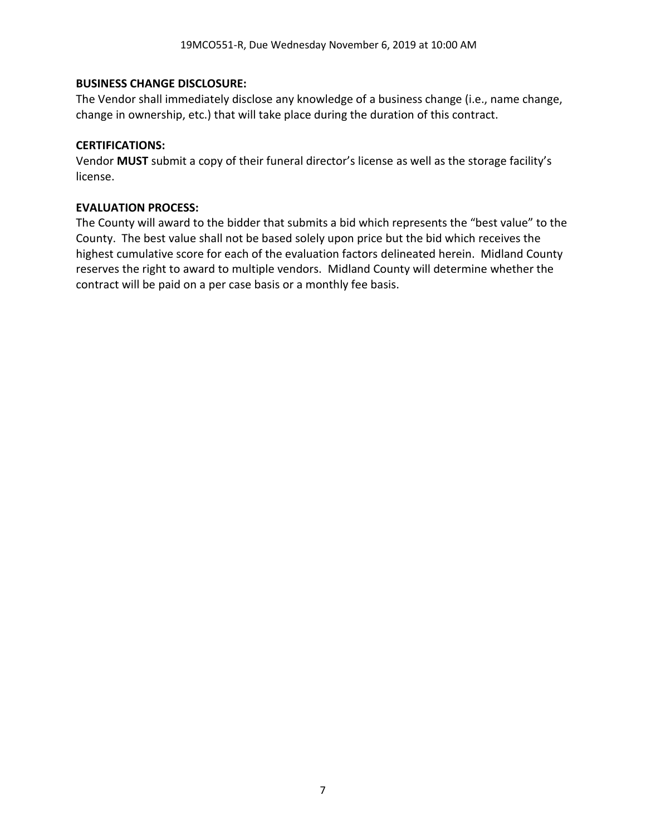### **BUSINESS CHANGE DISCLOSURE:**

The Vendor shall immediately disclose any knowledge of a business change (i.e., name change, change in ownership, etc.) that will take place during the duration of this contract.

#### **CERTIFICATIONS:**

Vendor **MUST** submit a copy of their funeral director's license as well as the storage facility's license.

### **EVALUATION PROCESS:**

The County will award to the bidder that submits a bid which represents the "best value" to the County. The best value shall not be based solely upon price but the bid which receives the highest cumulative score for each of the evaluation factors delineated herein. Midland County reserves the right to award to multiple vendors. Midland County will determine whether the contract will be paid on a per case basis or a monthly fee basis.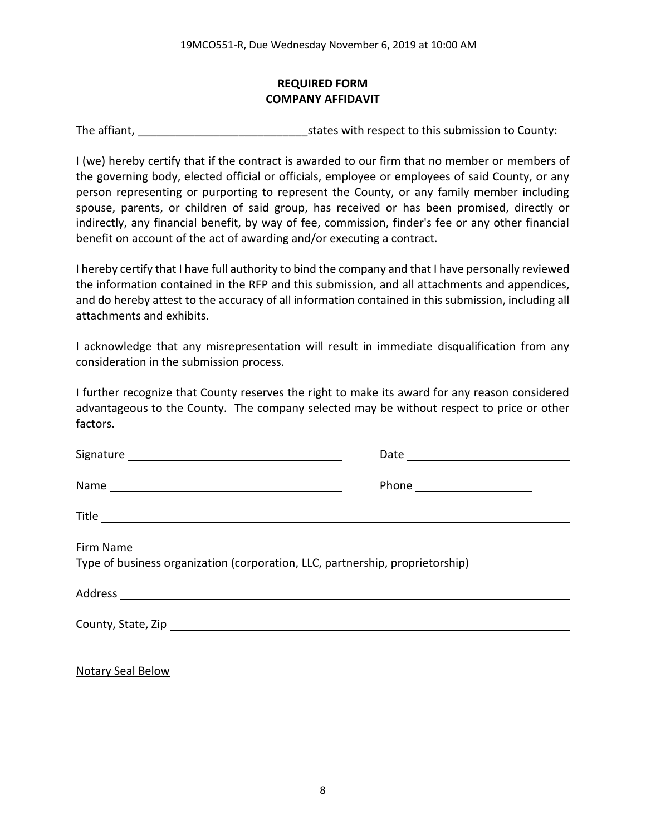# **REQUIRED FORM COMPANY AFFIDAVIT**

The affiant, The affiant,  $\frac{1}{2}$  is tates with respect to this submission to County:

I (we) hereby certify that if the contract is awarded to our firm that no member or members of the governing body, elected official or officials, employee or employees of said County, or any person representing or purporting to represent the County, or any family member including spouse, parents, or children of said group, has received or has been promised, directly or indirectly, any financial benefit, by way of fee, commission, finder's fee or any other financial benefit on account of the act of awarding and/or executing a contract.

I hereby certify that I have full authority to bind the company and that I have personally reviewed the information contained in the RFP and this submission, and all attachments and appendices, and do hereby attest to the accuracy of all information contained in this submission, including all attachments and exhibits.

I acknowledge that any misrepresentation will result in immediate disqualification from any consideration in the submission process.

I further recognize that County reserves the right to make its award for any reason considered advantageous to the County. The company selected may be without respect to price or other factors.

| Type of business organization (corporation, LLC, partnership, proprietorship) |  |
|-------------------------------------------------------------------------------|--|

Notary Seal Below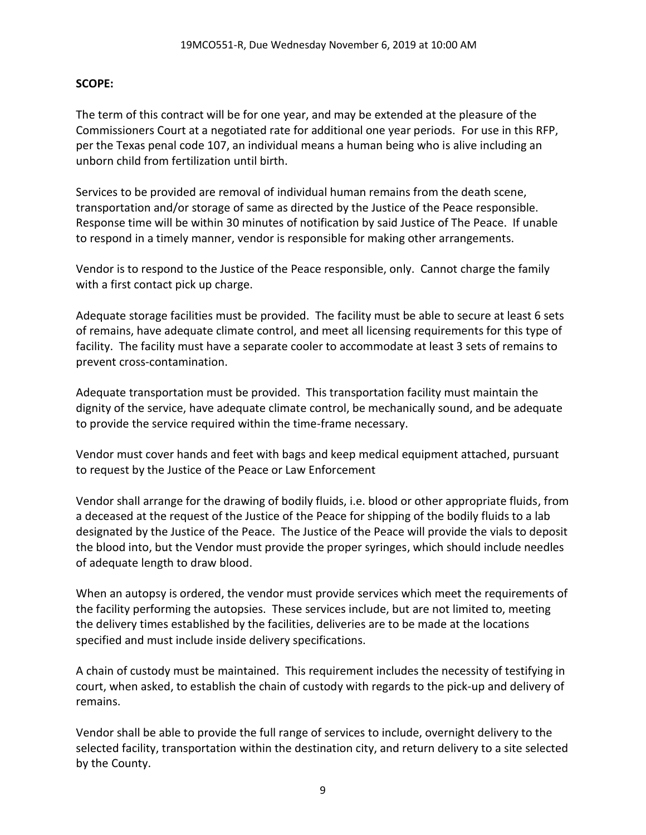### **SCOPE:**

The term of this contract will be for one year, and may be extended at the pleasure of the Commissioners Court at a negotiated rate for additional one year periods. For use in this RFP, per the Texas penal code 107, an individual means a human being who is alive including an unborn child from fertilization until birth.

Services to be provided are removal of individual human remains from the death scene, transportation and/or storage of same as directed by the Justice of the Peace responsible. Response time will be within 30 minutes of notification by said Justice of The Peace. If unable to respond in a timely manner, vendor is responsible for making other arrangements.

Vendor is to respond to the Justice of the Peace responsible, only. Cannot charge the family with a first contact pick up charge.

Adequate storage facilities must be provided. The facility must be able to secure at least 6 sets of remains, have adequate climate control, and meet all licensing requirements for this type of facility. The facility must have a separate cooler to accommodate at least 3 sets of remains to prevent cross-contamination.

Adequate transportation must be provided. This transportation facility must maintain the dignity of the service, have adequate climate control, be mechanically sound, and be adequate to provide the service required within the time-frame necessary.

Vendor must cover hands and feet with bags and keep medical equipment attached, pursuant to request by the Justice of the Peace or Law Enforcement

Vendor shall arrange for the drawing of bodily fluids, i.e. blood or other appropriate fluids, from a deceased at the request of the Justice of the Peace for shipping of the bodily fluids to a lab designated by the Justice of the Peace. The Justice of the Peace will provide the vials to deposit the blood into, but the Vendor must provide the proper syringes, which should include needles of adequate length to draw blood.

When an autopsy is ordered, the vendor must provide services which meet the requirements of the facility performing the autopsies. These services include, but are not limited to, meeting the delivery times established by the facilities, deliveries are to be made at the locations specified and must include inside delivery specifications.

A chain of custody must be maintained. This requirement includes the necessity of testifying in court, when asked, to establish the chain of custody with regards to the pick-up and delivery of remains.

Vendor shall be able to provide the full range of services to include, overnight delivery to the selected facility, transportation within the destination city, and return delivery to a site selected by the County.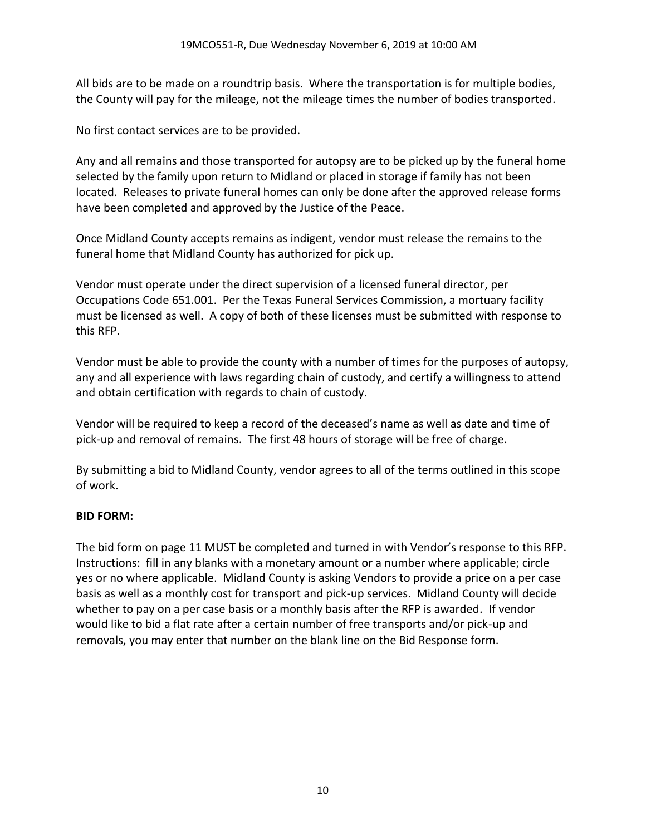All bids are to be made on a roundtrip basis. Where the transportation is for multiple bodies, the County will pay for the mileage, not the mileage times the number of bodies transported.

No first contact services are to be provided.

Any and all remains and those transported for autopsy are to be picked up by the funeral home selected by the family upon return to Midland or placed in storage if family has not been located. Releases to private funeral homes can only be done after the approved release forms have been completed and approved by the Justice of the Peace.

Once Midland County accepts remains as indigent, vendor must release the remains to the funeral home that Midland County has authorized for pick up.

Vendor must operate under the direct supervision of a licensed funeral director, per Occupations Code 651.001. Per the Texas Funeral Services Commission, a mortuary facility must be licensed as well. A copy of both of these licenses must be submitted with response to this RFP.

Vendor must be able to provide the county with a number of times for the purposes of autopsy, any and all experience with laws regarding chain of custody, and certify a willingness to attend and obtain certification with regards to chain of custody.

Vendor will be required to keep a record of the deceased's name as well as date and time of pick-up and removal of remains. The first 48 hours of storage will be free of charge.

By submitting a bid to Midland County, vendor agrees to all of the terms outlined in this scope of work.

# **BID FORM:**

The bid form on page 11 MUST be completed and turned in with Vendor's response to this RFP. Instructions: fill in any blanks with a monetary amount or a number where applicable; circle yes or no where applicable. Midland County is asking Vendors to provide a price on a per case basis as well as a monthly cost for transport and pick-up services. Midland County will decide whether to pay on a per case basis or a monthly basis after the RFP is awarded. If vendor would like to bid a flat rate after a certain number of free transports and/or pick-up and removals, you may enter that number on the blank line on the Bid Response form.